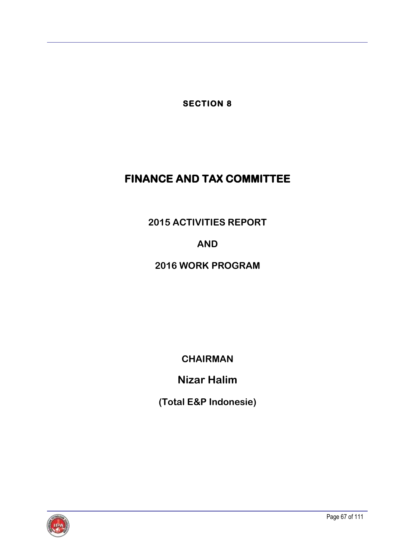**SECTION 8** 

# **FINANCE AND TAX COMMITTEE**

**2015 ACTIVITIES REPORT**

**AND**

## **2016 WORK PROGRAM**

**CHAIRMAN**

**Nizar Halim**

**(Total E&P Indonesie)**

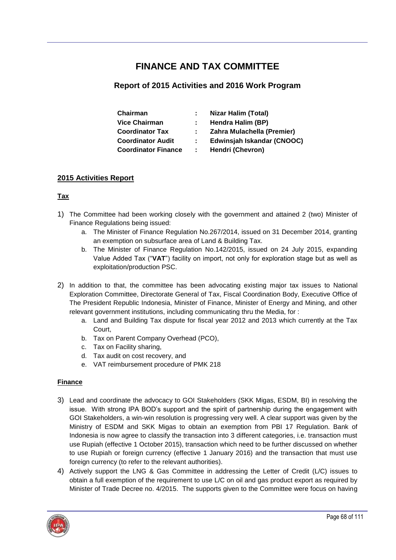### **FINANCE AND TAX COMMITTEE**

### **Report of 2015 Activities and 2016 Work Program**

| Chairman                   |    | <b>Nizar Halim (Total)</b> |
|----------------------------|----|----------------------------|
| <b>Vice Chairman</b>       |    | Hendra Halim (BP)          |
| <b>Coordinator Tax</b>     |    | Zahra Mulachella (Premier) |
| <b>Coordinator Audit</b>   | ÷. | Edwinsjah Iskandar (CNOOC) |
| <b>Coordinator Finance</b> | ÷  | Hendri (Chevron)           |

#### **2015 Activities Report**

#### **Tax**

- 1) The Committee had been working closely with the government and attained 2 (two) Minister of Finance Regulations being issued:
	- a. The Minister of Finance Regulation No.267/2014, issued on 31 December 2014, granting an exemption on subsurface area of Land & Building Tax.
	- b. The Minister of Finance Regulation No.142/2015, issued on 24 July 2015, expanding Value Added Tax ("**VAT**") facility on import, not only for exploration stage but as well as exploitation/production PSC.
- 2) In addition to that, the committee has been advocating existing major tax issues to National Exploration Committee, Directorate General of Tax, Fiscal Coordination Body, Executive Office of The President Republic Indonesia, Minister of Finance, Minister of Energy and Mining, and other relevant government institutions, including communicating thru the Media, for :
	- a. Land and Building Tax dispute for fiscal year 2012 and 2013 which currently at the Tax Court,
	- b. Tax on Parent Company Overhead (PCO),
	- c. Tax on Facility sharing,
	- d. Tax audit on cost recovery, and
	- e. VAT reimbursement procedure of PMK 218

#### **Finance**

- 3) Lead and coordinate the advocacy to GOI Stakeholders (SKK Migas, ESDM, BI) in resolving the issue. With strong IPA BOD's support and the spirit of partnership during the engagement with GOI Stakeholders, a win-win resolution is progressing very well. A clear support was given by the Ministry of ESDM and SKK Migas to obtain an exemption from PBI 17 Regulation. Bank of Indonesia is now agree to classify the transaction into 3 different categories, i.e. transaction must use Rupiah (effective 1 October 2015), transaction which need to be further discussed on whether to use Rupiah or foreign currency (effective 1 January 2016) and the transaction that must use foreign currency (to refer to the relevant authorities).
- 4) Actively support the LNG & Gas Committee in addressing the Letter of Credit (L/C) issues to obtain a full exemption of the requirement to use L/C on oil and gas product export as required by Minister of Trade Decree no. 4/2015. The supports given to the Committee were focus on having

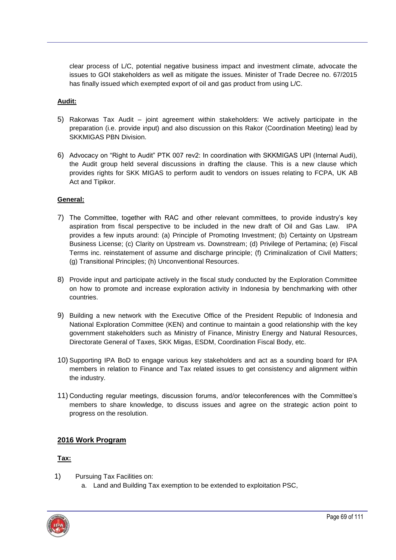clear process of L/C, potential negative business impact and investment climate, advocate the issues to GOI stakeholders as well as mitigate the issues. Minister of Trade Decree no. 67/2015 has finally issued which exempted export of oil and gas product from using L/C.

#### **Audit:**

- 5) Rakorwas Tax Audit joint agreement within stakeholders: We actively participate in the preparation (i.e. provide input) and also discussion on this Rakor (Coordination Meeting) lead by SKKMIGAS PBN Division.
- 6) Advocacy on "Right to Audit" PTK 007 rev2: In coordination with SKKMIGAS UPI (Internal Audi), the Audit group held several discussions in drafting the clause. This is a new clause which provides rights for SKK MIGAS to perform audit to vendors on issues relating to FCPA, UK AB Act and Tipikor.

#### **General:**

- 7) The Committee, together with RAC and other relevant committees, to provide industry's key aspiration from fiscal perspective to be included in the new draft of Oil and Gas Law. IPA provides a few inputs around: (a) Principle of Promoting Investment; (b) Certainty on Upstream Business License; (c) Clarity on Upstream vs. Downstream; (d) Privilege of Pertamina; (e) Fiscal Terms inc. reinstatement of assume and discharge principle; (f) Criminalization of Civil Matters; (g) Transitional Principles; (h) Unconventional Resources.
- 8) Provide input and participate actively in the fiscal study conducted by the Exploration Committee on how to promote and increase exploration activity in Indonesia by benchmarking with other countries.
- 9) Building a new network with the Executive Office of the President Republic of Indonesia and National Exploration Committee (KEN) and continue to maintain a good relationship with the key government stakeholders such as Ministry of Finance, Ministry Energy and Natural Resources, Directorate General of Taxes, SKK Migas, ESDM, Coordination Fiscal Body, etc.
- 10) Supporting IPA BoD to engage various key stakeholders and act as a sounding board for IPA members in relation to Finance and Tax related issues to get consistency and alignment within the industry.
- 11) Conducting regular meetings, discussion forums, and/or teleconferences with the Committee's members to share knowledge, to discuss issues and agree on the strategic action point to progress on the resolution.

#### **2016 Work Program**

#### **Tax:**

- 1) Pursuing Tax Facilities on:
	- a. Land and Building Tax exemption to be extended to exploitation PSC,